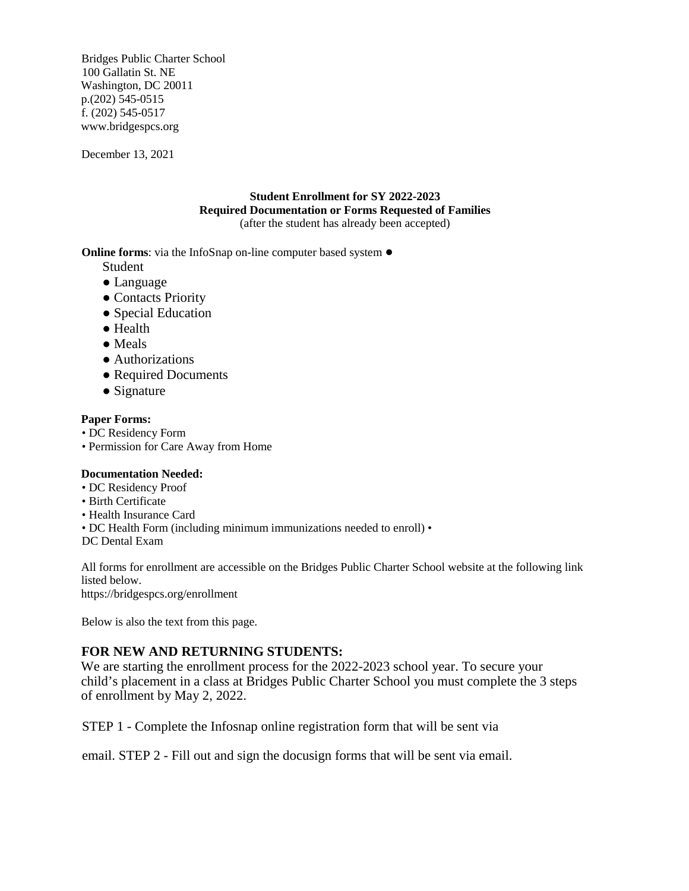Bridges Public Charter School 100 Gallatin St. NE Washington, DC 20011 p.(202) 545-0515 f. (202) 545-0517 www.bridgespcs.org

December 13, 2021

## **Student Enrollment for SY 2022-2023 Required Documentation or Forms Requested of Families**  (after the student has already been accepted)

**Online forms**: via the InfoSnap on-line computer based system ●

Student

- Language
- Contacts Priority
- Special Education
- Health
- Meals
- Authorizations
- Required Documents
- Signature

## **Paper Forms:**

- DC Residency Form
- Permission for Care Away from Home

### **Documentation Needed:**

- DC Residency Proof
- Birth Certificate
- Health Insurance Card
- DC Health Form (including minimum immunizations needed to enroll) •

DC Dental Exam

All forms for enrollment are accessible on the Bridges Public Charter School website at the following link listed below.

https://bridgespcs.org/enrollment

Below is also the text from this page.

# **FOR NEW AND RETURNING STUDENTS:**

We are starting the enrollment process for the 2022-2023 school year. To secure your child's placement in a class at Bridges Public Charter School you must complete the 3 steps of enrollment by May 2, 2022.

STEP 1 - Complete the Infosnap online registration form that will be sent via

email. STEP 2 - Fill out and sign the docusign forms that will be sent via email.